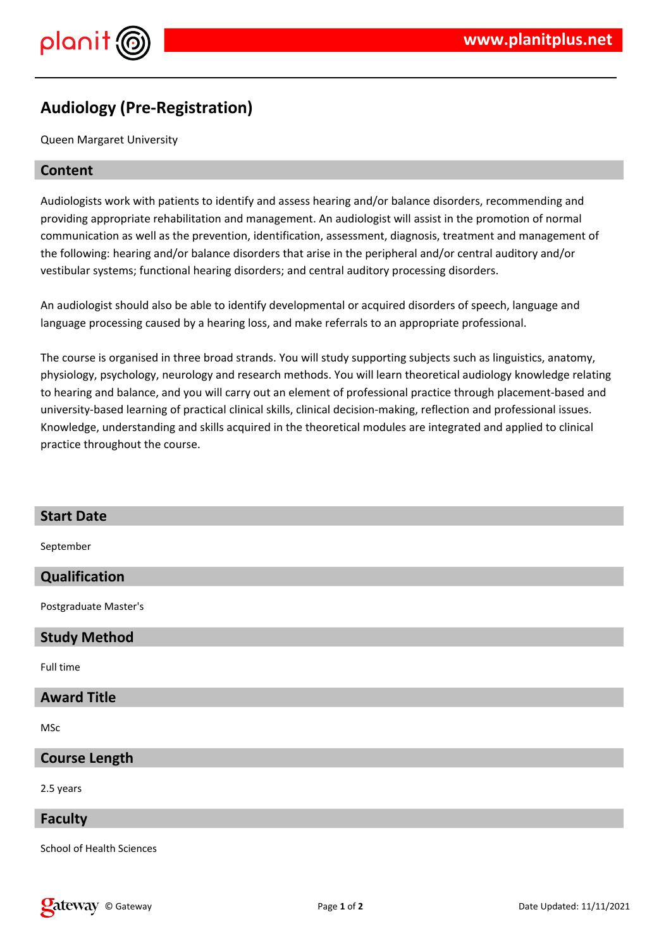



# **Audiology (Pre-Registration)**

Queen Margaret University

### **Content**

Audiologists work with patients to identify and assess hearing and/or balance disorders, recommending and providing appropriate rehabilitation and management. An audiologist will assist in the promotion of normal communication as well as the prevention, identification, assessment, diagnosis, treatment and management of the following: hearing and/or balance disorders that arise in the peripheral and/or central auditory and/or vestibular systems; functional hearing disorders; and central auditory processing disorders.

An audiologist should also be able to identify developmental or acquired disorders of speech, language and language processing caused by a hearing loss, and make referrals to an appropriate professional.

The course is organised in three broad strands. You will study supporting subjects such as linguistics, anatomy, physiology, psychology, neurology and research methods. You will learn theoretical audiology knowledge relating to hearing and balance, and you will carry out an element of professional practice through placement-based and university-based learning of practical clinical skills, clinical decision-making, reflection and professional issues. Knowledge, understanding and skills acquired in the theoretical modules are integrated and applied to clinical practice throughout the course.

| <b>Start Date</b>                |
|----------------------------------|
| September                        |
| Qualification                    |
| Postgraduate Master's            |
| <b>Study Method</b>              |
| Full time                        |
| <b>Award Title</b>               |
| MSc                              |
| <b>Course Length</b>             |
| 2.5 years                        |
| <b>Faculty</b>                   |
| <b>School of Health Sciences</b> |